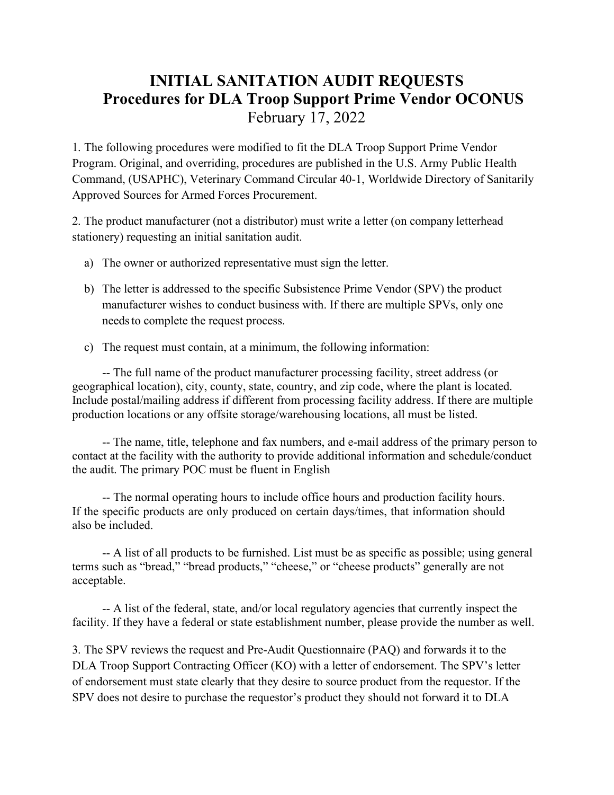## **INITIAL SANITATION AUDIT REQUESTS Procedures for DLA Troop Support Prime Vendor OCONUS** February 17, 2022

1. The following procedures were modified to fit the DLA Troop Support Prime Vendor Program. Original, and overriding, procedures are published in the U.S. Army Public Health Command, (USAPHC), Veterinary Command Circular 40-1, Worldwide Directory of Sanitarily Approved Sources for Armed Forces Procurement.

2. The product manufacturer (not a distributor) must write a letter (on company letterhead stationery) requesting an initial sanitation audit.

- a) The owner or authorized representative must sign the letter.
- b) The letter is addressed to the specific Subsistence Prime Vendor (SPV) the product manufacturer wishes to conduct business with. If there are multiple SPVs, only one needs to complete the request process.
- c) The request must contain, at a minimum, the following information:

-- The full name of the product manufacturer processing facility, street address (or geographical location), city, county, state, country, and zip code, where the plant is located. Include postal/mailing address if different from processing facility address. If there are multiple production locations or any offsite storage/warehousing locations, all must be listed.

-- The name, title, telephone and fax numbers, and e-mail address of the primary person to contact at the facility with the authority to provide additional information and schedule/conduct the audit. The primary POC must be fluent in English

-- The normal operating hours to include office hours and production facility hours. If the specific products are only produced on certain days/times, that information should also be included.

-- A list of all products to be furnished. List must be as specific as possible; using general terms such as "bread," "bread products," "cheese," or "cheese products" generally are not acceptable.

-- A list of the federal, state, and/or local regulatory agencies that currently inspect the facility. If they have a federal or state establishment number, please provide the number as well.

3. The SPV reviews the request and Pre-Audit Questionnaire (PAQ) and forwards it to the DLA Troop Support Contracting Officer (KO) with a letter of endorsement. The SPV's letter of endorsement must state clearly that they desire to source product from the requestor. If the SPV does not desire to purchase the requestor's product they should not forward it to DLA